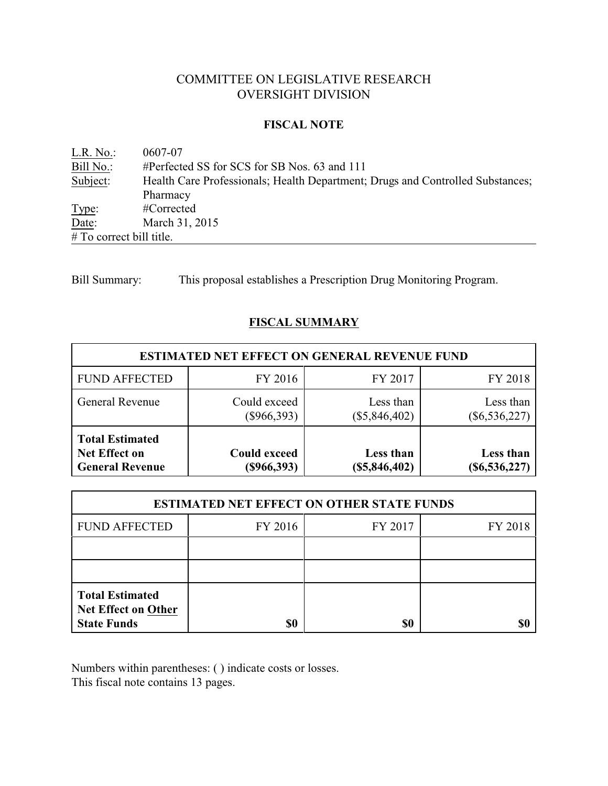# COMMITTEE ON LEGISLATIVE RESEARCH OVERSIGHT DIVISION

### **FISCAL NOTE**

L.R. No.: 0607-07<br>Bill No.: #Perfect Bill No.: #Perfected SS for SCS for SB Nos. 63 and 111<br>Subject: Health Care Professionals; Health Department; Health Care Professionals; Health Department; Drugs and Controlled Substances; Pharmacy Type: #Corrected Date: March 31, 2015 # To correct bill title.

Bill Summary: This proposal establishes a Prescription Drug Monitoring Program.

# **FISCAL SUMMARY**

| <b>ESTIMATED NET EFFECT ON GENERAL REVENUE FUND</b>                      |                                      |                              |                              |  |  |
|--------------------------------------------------------------------------|--------------------------------------|------------------------------|------------------------------|--|--|
| <b>FUND AFFECTED</b>                                                     | FY 2016                              | FY 2017                      | FY 2018                      |  |  |
| <b>General Revenue</b>                                                   | Could exceed<br>$(\$966,393)$        | Less than<br>$(\$5,846,402)$ | Less than<br>$(\$6,536,227)$ |  |  |
| <b>Total Estimated</b><br><b>Net Effect on</b><br><b>General Revenue</b> | <b>Could exceed</b><br>$(\$966,393)$ | Less than<br>(\$5,846,402)   | Less than<br>$(\$6,536,227)$ |  |  |

| <b>ESTIMATED NET EFFECT ON OTHER STATE FUNDS</b>                           |         |         |         |  |  |
|----------------------------------------------------------------------------|---------|---------|---------|--|--|
| <b>FUND AFFECTED</b>                                                       | FY 2016 | FY 2017 | FY 2018 |  |  |
|                                                                            |         |         |         |  |  |
|                                                                            |         |         |         |  |  |
| <b>Total Estimated</b><br><b>Net Effect on Other</b><br><b>State Funds</b> | \$0     | \$0     |         |  |  |

Numbers within parentheses: ( ) indicate costs or losses.

This fiscal note contains 13 pages.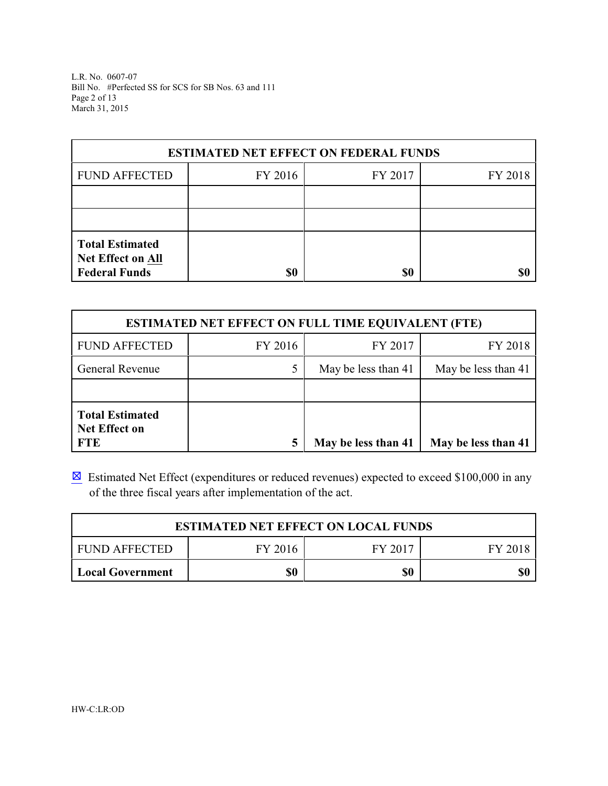L.R. No. 0607-07 Bill No. #Perfected SS for SCS for SB Nos. 63 and 111 Page 2 of 13 March 31, 2015

| <b>ESTIMATED NET EFFECT ON FEDERAL FUNDS</b>                        |         |         |         |  |  |
|---------------------------------------------------------------------|---------|---------|---------|--|--|
| <b>FUND AFFECTED</b>                                                | FY 2016 | FY 2017 | FY 2018 |  |  |
|                                                                     |         |         |         |  |  |
|                                                                     |         |         |         |  |  |
| <b>Total Estimated</b><br>Net Effect on All<br><b>Federal Funds</b> | \$0     | \$0     |         |  |  |

| <b>ESTIMATED NET EFFECT ON FULL TIME EQUIVALENT (FTE)</b>    |         |                     |                     |  |  |
|--------------------------------------------------------------|---------|---------------------|---------------------|--|--|
| <b>FUND AFFECTED</b>                                         | FY 2016 | FY 2017             | FY 2018             |  |  |
| <b>General Revenue</b>                                       |         | May be less than 41 | May be less than 41 |  |  |
|                                                              |         |                     |                     |  |  |
| <b>Total Estimated</b><br><b>Net Effect on</b><br><b>FTE</b> |         | May be less than 41 | May be less than 41 |  |  |

 $\boxtimes$  Estimated Net Effect (expenditures or reduced revenues) expected to exceed \$100,000 in any of the three fiscal years after implementation of the act.

| <b>ESTIMATED NET EFFECT ON LOCAL FUNDS</b>       |  |  |  |  |  |  |
|--------------------------------------------------|--|--|--|--|--|--|
| FY 2017<br>I FUND AFFECTED<br>FY 2016<br>FY 2018 |  |  |  |  |  |  |
| \$0<br>\$0<br>\$0<br>Local Government            |  |  |  |  |  |  |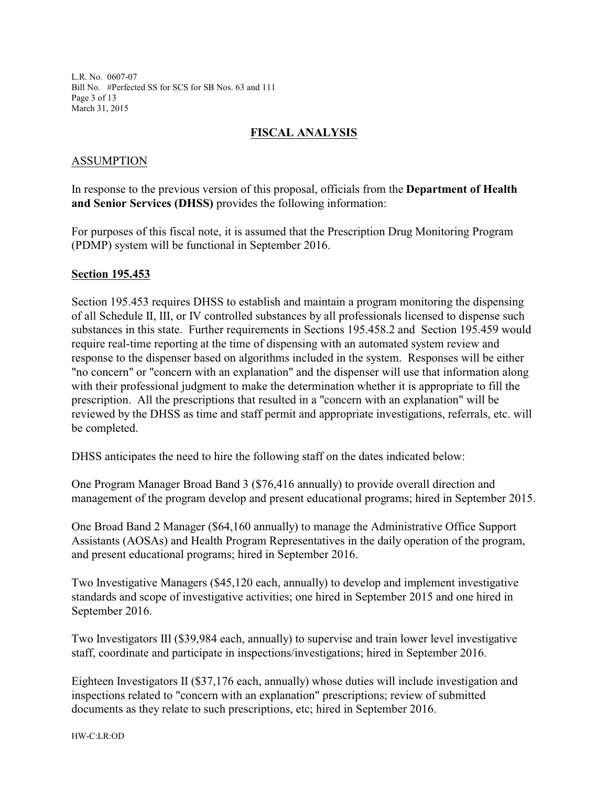L.R. No. 0607-07 Bill No. #Perfected SS for SCS for SB Nos. 63 and 111 Page 3 of 13 March 31, 2015

# **FISCAL ANALYSIS**

### ASSUMPTION

In response to the previous version of this proposal, officials from the **Department of Health and Senior Services (DHSS)** provides the following information:

For purposes of this fiscal note, it is assumed that the Prescription Drug Monitoring Program (PDMP) system will be functional in September 2016.

#### **Section 195.453**

Section 195.453 requires DHSS to establish and maintain a program monitoring the dispensing of all Schedule II, III, or IV controlled substances by all professionals licensed to dispense such substances in this state. Further requirements in Sections 195.458.2 and Section 195.459 would require real-time reporting at the time of dispensing with an automated system review and response to the dispenser based on algorithms included in the system. Responses will be either "no concern" or "concern with an explanation" and the dispenser will use that information along with their professional judgment to make the determination whether it is appropriate to fill the prescription. All the prescriptions that resulted in a "concern with an explanation" will be reviewed by the DHSS as time and staff permit and appropriate investigations, referrals, etc. will be completed.

DHSS anticipates the need to hire the following staff on the dates indicated below:

One Program Manager Broad Band 3 (\$76,416 annually) to provide overall direction and management of the program develop and present educational programs; hired in September 2015.

One Broad Band 2 Manager (\$64,160 annually) to manage the Administrative Office Support Assistants (AOSAs) and Health Program Representatives in the daily operation of the program, and present educational programs; hired in September 2016.

Two Investigative Managers (\$45,120 each, annually) to develop and implement investigative standards and scope of investigative activities; one hired in September 2015 and one hired in September 2016.

Two Investigators III (\$39,984 each, annually) to supervise and train lower level investigative staff, coordinate and participate in inspections/investigations; hired in September 2016.

Eighteen Investigators II (\$37,176 each, annually) whose duties will include investigation and inspections related to "concern with an explanation" prescriptions; review of submitted documents as they relate to such prescriptions, etc; hired in September 2016.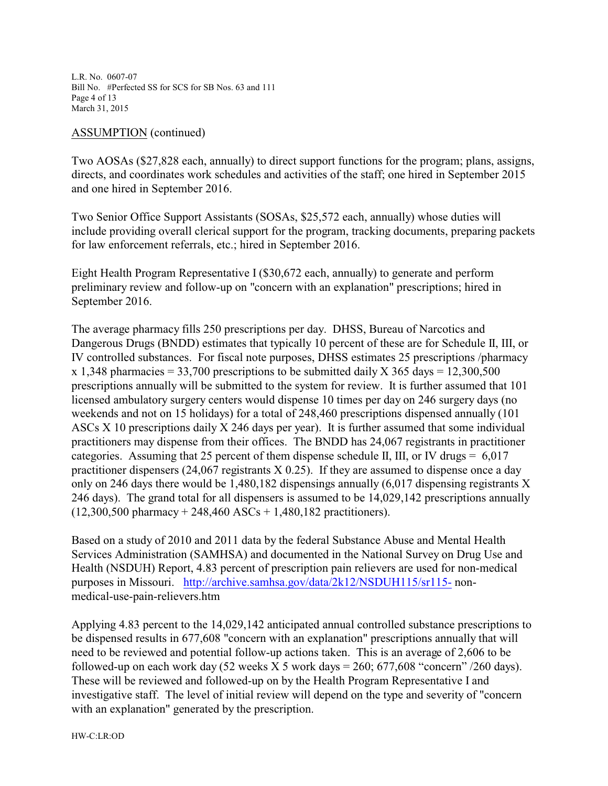L.R. No. 0607-07 Bill No. #Perfected SS for SCS for SB Nos. 63 and 111 Page 4 of 13 March 31, 2015

#### ASSUMPTION (continued)

Two AOSAs (\$27,828 each, annually) to direct support functions for the program; plans, assigns, directs, and coordinates work schedules and activities of the staff; one hired in September 2015 and one hired in September 2016.

Two Senior Office Support Assistants (SOSAs, \$25,572 each, annually) whose duties will include providing overall clerical support for the program, tracking documents, preparing packets for law enforcement referrals, etc.; hired in September 2016.

Eight Health Program Representative I (\$30,672 each, annually) to generate and perform preliminary review and follow-up on "concern with an explanation" prescriptions; hired in September 2016.

The average pharmacy fills 250 prescriptions per day. DHSS, Bureau of Narcotics and Dangerous Drugs (BNDD) estimates that typically 10 percent of these are for Schedule II, III, or IV controlled substances. For fiscal note purposes, DHSS estimates 25 prescriptions /pharmacy x 1,348 pharmacies = 33,700 prescriptions to be submitted daily X 365 days = 12,300,500 prescriptions annually will be submitted to the system for review. It is further assumed that 101 licensed ambulatory surgery centers would dispense 10 times per day on 246 surgery days (no weekends and not on 15 holidays) for a total of 248,460 prescriptions dispensed annually (101 ASCs X 10 prescriptions daily X 246 days per year). It is further assumed that some individual practitioners may dispense from their offices. The BNDD has 24,067 registrants in practitioner categories. Assuming that 25 percent of them dispense schedule II, III, or IV drugs  $= 6.017$ practitioner dispensers (24,067 registrants X 0.25). If they are assumed to dispense once a day only on 246 days there would be 1,480,182 dispensings annually (6,017 dispensing registrants X 246 days). The grand total for all dispensers is assumed to be 14,029,142 prescriptions annually  $(12,300,500 \text{ pharmacy} + 248,460 \text{ ASCs} + 1,480,182 \text{ practitioners}).$ 

Based on a study of 2010 and 2011 data by the federal Substance Abuse and Mental Health Services Administration (SAMHSA) and documented in the National Survey on Drug Use and Health (NSDUH) Report, 4.83 percent of prescription pain relievers are used for non-medical purposes in Missouri. <http://archive.samhsa.gov/data/2k12/NSDUH115/sr115-> nonmedical-use-pain-relievers.htm

Applying 4.83 percent to the 14,029,142 anticipated annual controlled substance prescriptions to be dispensed results in 677,608 "concern with an explanation" prescriptions annually that will need to be reviewed and potential follow-up actions taken. This is an average of 2,606 to be followed-up on each work day  $(52 \text{ weeks } X 5 \text{ work days} = 260; 677,608 \text{ "concern" } / 260 \text{ days}).$ These will be reviewed and followed-up on by the Health Program Representative I and investigative staff. The level of initial review will depend on the type and severity of "concern with an explanation" generated by the prescription.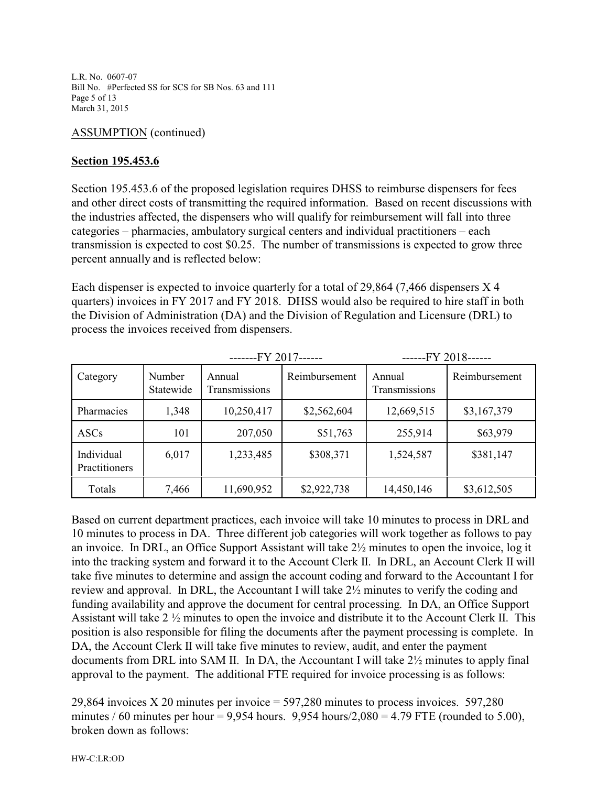L.R. No. 0607-07 Bill No. #Perfected SS for SCS for SB Nos. 63 and 111 Page 5 of 13 March 31, 2015

# ASSUMPTION (continued)

# **Section 195.453.6**

Section 195.453.6 of the proposed legislation requires DHSS to reimburse dispensers for fees and other direct costs of transmitting the required information. Based on recent discussions with the industries affected, the dispensers who will qualify for reimbursement will fall into three categories – pharmacies, ambulatory surgical centers and individual practitioners – each transmission is expected to cost \$0.25. The number of transmissions is expected to grow three percent annually and is reflected below:

Each dispenser is expected to invoice quarterly for a total of 29,864 (7,466 dispensers X 4 quarters) invoices in FY 2017 and FY 2018. DHSS would also be required to hire staff in both the Division of Administration (DA) and the Division of Regulation and Licensure (DRL) to process the invoices received from dispensers.

|                                    |                     | $---$ FY 2017------     |               | $---FY$ 2018------      |               |
|------------------------------------|---------------------|-------------------------|---------------|-------------------------|---------------|
| Category                           | Number<br>Statewide | Annual<br>Transmissions | Reimbursement | Annual<br>Transmissions | Reimbursement |
| Pharmacies                         | 1,348               | 10,250,417              | \$2,562,604   | 12,669,515              | \$3,167,379   |
| <b>ASCs</b>                        | 101                 | 207,050                 | \$51,763      | 255,914                 | \$63,979      |
| Individual<br><b>Practitioners</b> | 6,017               | 1,233,485               | \$308,371     | 1,524,587               | \$381,147     |
| Totals                             | 7,466               | 11,690,952              | \$2,922,738   | 14,450,146              | \$3,612,505   |

Based on current department practices, each invoice will take 10 minutes to process in DRL and 10 minutes to process in DA. Three different job categories will work together as follows to pay an invoice. In DRL, an Office Support Assistant will take 2½ minutes to open the invoice, log it into the tracking system and forward it to the Account Clerk II. In DRL, an Account Clerk II will take five minutes to determine and assign the account coding and forward to the Accountant I for review and approval. In DRL, the Accountant I will take 2½ minutes to verify the coding and funding availability and approve the document for central processing. In DA, an Office Support Assistant will take 2 ½ minutes to open the invoice and distribute it to the Account Clerk II. This position is also responsible for filing the documents after the payment processing is complete. In DA, the Account Clerk II will take five minutes to review, audit, and enter the payment documents from DRL into SAM II. In DA, the Accountant I will take 2½ minutes to apply final approval to the payment. The additional FTE required for invoice processing is as follows:

29,864 invoices X 20 minutes per invoice = 597,280 minutes to process invoices. 597,280 minutes / 60 minutes per hour = 9,954 hours. 9,954 hours/ $2,080 = 4.79$  FTE (rounded to 5.00), broken down as follows: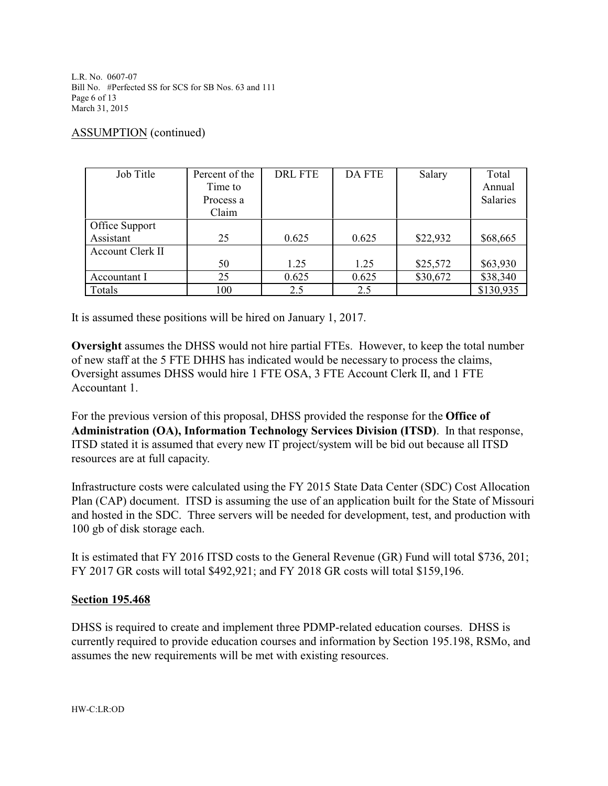L.R. No. 0607-07 Bill No. #Perfected SS for SCS for SB Nos. 63 and 111 Page 6 of 13 March 31, 2015

### ASSUMPTION (continued)

| Job Title        | Percent of the | <b>DRL FTE</b> | <b>DA FTE</b> | Salary   | Total     |
|------------------|----------------|----------------|---------------|----------|-----------|
|                  | Time to        |                |               |          | Annual    |
|                  | Process a      |                |               |          | Salaries  |
|                  | Claim          |                |               |          |           |
| Office Support   |                |                |               |          |           |
| Assistant        | 25             | 0.625          | 0.625         | \$22,932 | \$68,665  |
| Account Clerk II |                |                |               |          |           |
|                  | 50             | 1.25           | 1.25          | \$25,572 | \$63,930  |
| Accountant I     | 25             | 0.625          | 0.625         | \$30,672 | \$38,340  |
| Totals           | 100            | 2.5            | 2.5           |          | \$130,935 |

It is assumed these positions will be hired on January 1, 2017.

**Oversight** assumes the DHSS would not hire partial FTEs. However, to keep the total number of new staff at the 5 FTE DHHS has indicated would be necessary to process the claims, Oversight assumes DHSS would hire 1 FTE OSA, 3 FTE Account Clerk II, and 1 FTE Accountant 1.

For the previous version of this proposal, DHSS provided the response for the **Office of Administration (OA), Information Technology Services Division (ITSD)**. In that response, ITSD stated it is assumed that every new IT project/system will be bid out because all ITSD resources are at full capacity.

Infrastructure costs were calculated using the FY 2015 State Data Center (SDC) Cost Allocation Plan (CAP) document. ITSD is assuming the use of an application built for the State of Missouri and hosted in the SDC. Three servers will be needed for development, test, and production with 100 gb of disk storage each.

It is estimated that FY 2016 ITSD costs to the General Revenue (GR) Fund will total \$736, 201; FY 2017 GR costs will total \$492,921; and FY 2018 GR costs will total \$159,196.

### **Section 195.468**

DHSS is required to create and implement three PDMP-related education courses. DHSS is currently required to provide education courses and information by Section 195.198, RSMo, and assumes the new requirements will be met with existing resources.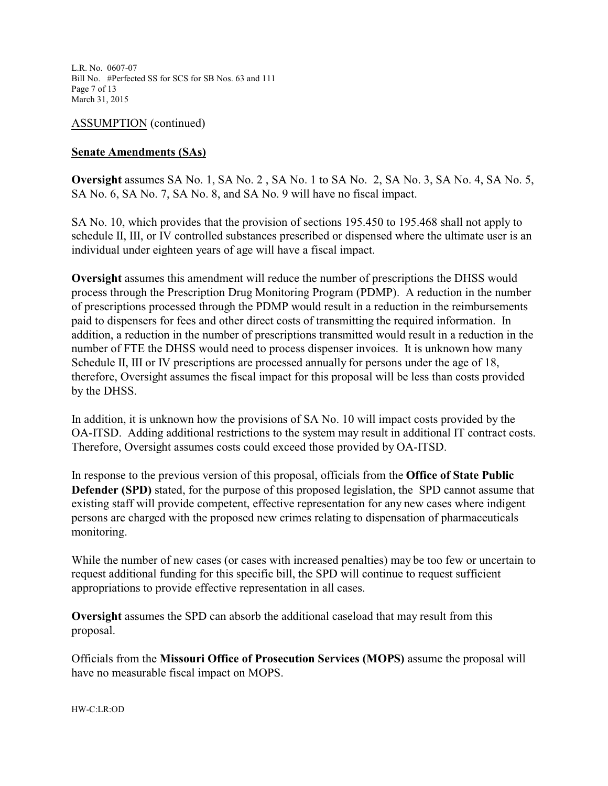L.R. No. 0607-07 Bill No. #Perfected SS for SCS for SB Nos. 63 and 111 Page 7 of 13 March 31, 2015

ASSUMPTION (continued)

### **Senate Amendments (SAs)**

**Oversight** assumes SA No. 1, SA No. 2 , SA No. 1 to SA No. 2, SA No. 3, SA No. 4, SA No. 5, SA No. 6, SA No. 7, SA No. 8, and SA No. 9 will have no fiscal impact.

SA No. 10, which provides that the provision of sections 195.450 to 195.468 shall not apply to schedule II, III, or IV controlled substances prescribed or dispensed where the ultimate user is an individual under eighteen years of age will have a fiscal impact.

**Oversight** assumes this amendment will reduce the number of prescriptions the DHSS would process through the Prescription Drug Monitoring Program (PDMP). A reduction in the number of prescriptions processed through the PDMP would result in a reduction in the reimbursements paid to dispensers for fees and other direct costs of transmitting the required information. In addition, a reduction in the number of prescriptions transmitted would result in a reduction in the number of FTE the DHSS would need to process dispenser invoices. It is unknown how many Schedule II, III or IV prescriptions are processed annually for persons under the age of 18, therefore, Oversight assumes the fiscal impact for this proposal will be less than costs provided by the DHSS.

In addition, it is unknown how the provisions of SA No. 10 will impact costs provided by the OA-ITSD. Adding additional restrictions to the system may result in additional IT contract costs. Therefore, Oversight assumes costs could exceed those provided by OA-ITSD.

In response to the previous version of this proposal, officials from the **Office of State Public Defender (SPD)** stated, for the purpose of this proposed legislation, the SPD cannot assume that existing staff will provide competent, effective representation for any new cases where indigent persons are charged with the proposed new crimes relating to dispensation of pharmaceuticals monitoring.

While the number of new cases (or cases with increased penalties) may be too few or uncertain to request additional funding for this specific bill, the SPD will continue to request sufficient appropriations to provide effective representation in all cases.

**Oversight** assumes the SPD can absorb the additional caseload that may result from this proposal.

Officials from the **Missouri Office of Prosecution Services (MOPS)** assume the proposal will have no measurable fiscal impact on MOPS.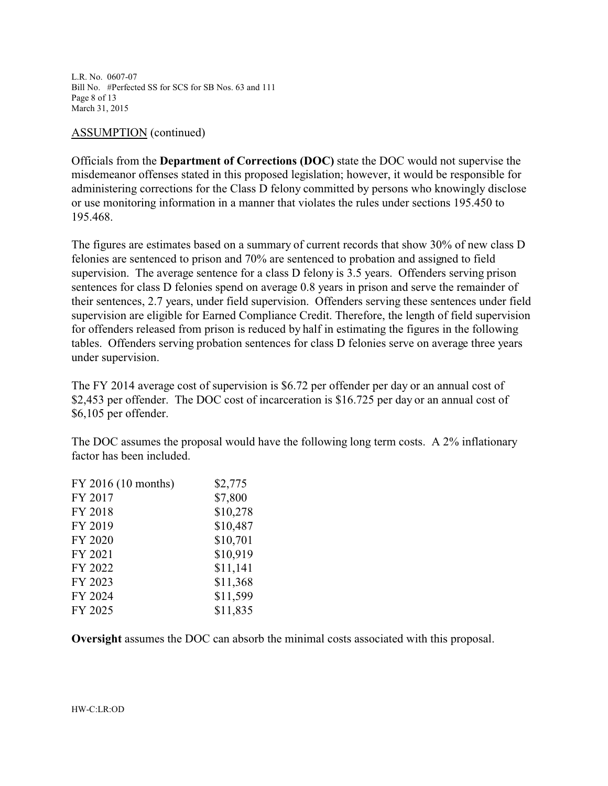L.R. No. 0607-07 Bill No. #Perfected SS for SCS for SB Nos. 63 and 111 Page 8 of 13 March 31, 2015

#### ASSUMPTION (continued)

Officials from the **Department of Corrections (DOC)** state the DOC would not supervise the misdemeanor offenses stated in this proposed legislation; however, it would be responsible for administering corrections for the Class D felony committed by persons who knowingly disclose or use monitoring information in a manner that violates the rules under sections 195.450 to 195.468.

The figures are estimates based on a summary of current records that show 30% of new class D felonies are sentenced to prison and 70% are sentenced to probation and assigned to field supervision. The average sentence for a class D felony is 3.5 years. Offenders serving prison sentences for class D felonies spend on average 0.8 years in prison and serve the remainder of their sentences, 2.7 years, under field supervision. Offenders serving these sentences under field supervision are eligible for Earned Compliance Credit. Therefore, the length of field supervision for offenders released from prison is reduced by half in estimating the figures in the following tables. Offenders serving probation sentences for class D felonies serve on average three years under supervision.

The FY 2014 average cost of supervision is \$6.72 per offender per day or an annual cost of \$2,453 per offender. The DOC cost of incarceration is \$16.725 per day or an annual cost of \$6,105 per offender.

The DOC assumes the proposal would have the following long term costs. A 2% inflationary factor has been included.

| FY 2016 (10 months) | \$2,775  |
|---------------------|----------|
| FY 2017             | \$7,800  |
| FY 2018             | \$10,278 |
| FY 2019             | \$10,487 |
| FY 2020             | \$10,701 |
| FY 2021             | \$10,919 |
| FY 2022             | \$11,141 |
| FY 2023             | \$11,368 |
| FY 2024             | \$11,599 |
| FY 2025             | \$11,835 |

**Oversight** assumes the DOC can absorb the minimal costs associated with this proposal.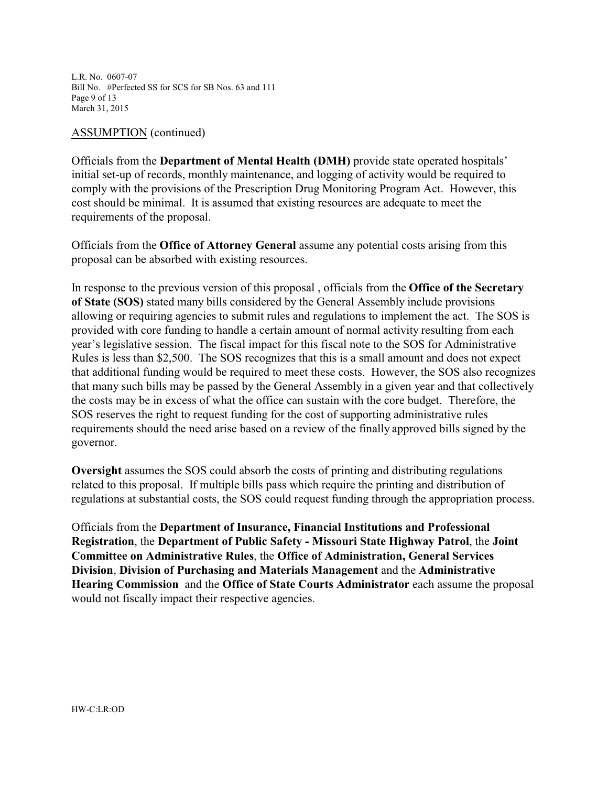L.R. No. 0607-07 Bill No. #Perfected SS for SCS for SB Nos. 63 and 111 Page 9 of 13 March 31, 2015

#### ASSUMPTION (continued)

Officials from the **Department of Mental Health (DMH)** provide state operated hospitals' initial set-up of records, monthly maintenance, and logging of activity would be required to comply with the provisions of the Prescription Drug Monitoring Program Act. However, this cost should be minimal. It is assumed that existing resources are adequate to meet the requirements of the proposal.

Officials from the **Office of Attorney General** assume any potential costs arising from this proposal can be absorbed with existing resources.

In response to the previous version of this proposal , officials from the **Office of the Secretary of State (SOS)** stated many bills considered by the General Assembly include provisions allowing or requiring agencies to submit rules and regulations to implement the act. The SOS is provided with core funding to handle a certain amount of normal activity resulting from each year's legislative session. The fiscal impact for this fiscal note to the SOS for Administrative Rules is less than \$2,500. The SOS recognizes that this is a small amount and does not expect that additional funding would be required to meet these costs. However, the SOS also recognizes that many such bills may be passed by the General Assembly in a given year and that collectively the costs may be in excess of what the office can sustain with the core budget. Therefore, the SOS reserves the right to request funding for the cost of supporting administrative rules requirements should the need arise based on a review of the finally approved bills signed by the governor.

**Oversight** assumes the SOS could absorb the costs of printing and distributing regulations related to this proposal. If multiple bills pass which require the printing and distribution of regulations at substantial costs, the SOS could request funding through the appropriation process.

Officials from the **Department of Insurance, Financial Institutions and Professional Registration**, the **Department of Public Safety - Missouri State Highway Patrol**, the **Joint Committee on Administrative Rules**, the **Office of Administration, General Services Division**, **Division of Purchasing and Materials Management** and the **Administrative Hearing Commission** and the **Office of State Courts Administrator** each assume the proposal would not fiscally impact their respective agencies.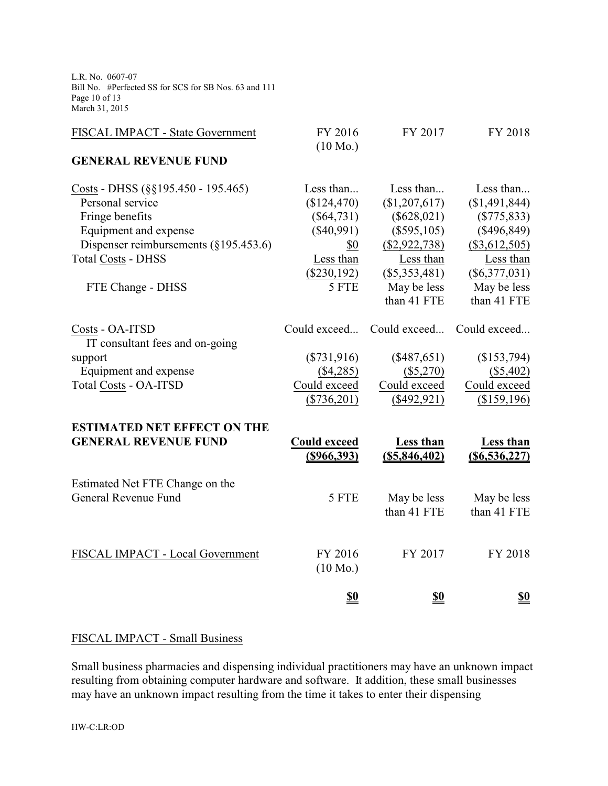L.R. No. 0607-07 Bill No. #Perfected SS for SCS for SB Nos. 63 and 111 Page 10 of 13 March 31, 2015

| FISCAL IMPACT - State Government                   | FY 2016<br>$(10 \text{ Mo.})$ | FY 2017          | FY 2018          |
|----------------------------------------------------|-------------------------------|------------------|------------------|
| <b>GENERAL REVENUE FUND</b>                        |                               |                  |                  |
| Costs - DHSS (§§195.450 - 195.465)                 | Less than                     | Less than        | Less than        |
| Personal service                                   | (\$124,470)                   | (\$1,207,617)    | (\$1,491,844)    |
| Fringe benefits                                    | $(\$64,731)$                  | $(\$628,021)$    | $(\$775, 833)$   |
| Equipment and expense                              | $(\$40,991)$                  | $(\$595,105)$    | $(\$496,849)$    |
| Dispenser reimbursements $(\S195.453.6)$           | \$0                           | $(\$2,922,738)$  | $(\$3,612,505)$  |
| <b>Total Costs - DHSS</b>                          | Less than                     | Less than        | Less than        |
|                                                    | (\$230,192)                   | (\$5,353,481)    | $(\$6,377,031)$  |
| FTE Change - DHSS                                  | 5 FTE                         | May be less      | May be less      |
|                                                    |                               | than 41 FTE      | than 41 FTE      |
| Costs - OA-ITSD<br>IT consultant fees and on-going | Could exceed                  | Could exceed     | Could exceed     |
| support                                            | $(\$731,916)$                 | $(\$487,651)$    | (\$153,794)      |
| Equipment and expense                              | $(\$4,285)$                   | $(\$5,270)$      | $(\$5,402)$      |
| Total Costs - OA-ITSD                              | Could exceed                  | Could exceed     | Could exceed     |
|                                                    | $(\$736,201)$                 | $(\$492,921)$    | (\$159,196)      |
| <b>ESTIMATED NET EFFECT ON THE</b>                 |                               |                  |                  |
| <b>GENERAL REVENUE FUND</b>                        | <b>Could exceed</b>           | <b>Less than</b> | <b>Less than</b> |
|                                                    | $($ \$966,393)                | (S5, 846, 402)   | $(\$6,536,227)$  |
| Estimated Net FTE Change on the                    |                               |                  |                  |
| General Revenue Fund                               | 5 FTE                         | May be less      | May be less      |
|                                                    |                               | than 41 FTE      | than 41 FTE      |
|                                                    |                               |                  |                  |
| FISCAL IMPACT - Local Government                   | FY 2016                       | FY 2017          | FY 2018          |
|                                                    | $(10 \text{ Mo.})$            |                  |                  |
|                                                    | <u>\$0</u>                    | <u>\$0</u>       | <u>\$0</u>       |
|                                                    |                               |                  |                  |

# FISCAL IMPACT - Small Business

Small business pharmacies and dispensing individual practitioners may have an unknown impact resulting from obtaining computer hardware and software. It addition, these small businesses may have an unknown impact resulting from the time it takes to enter their dispensing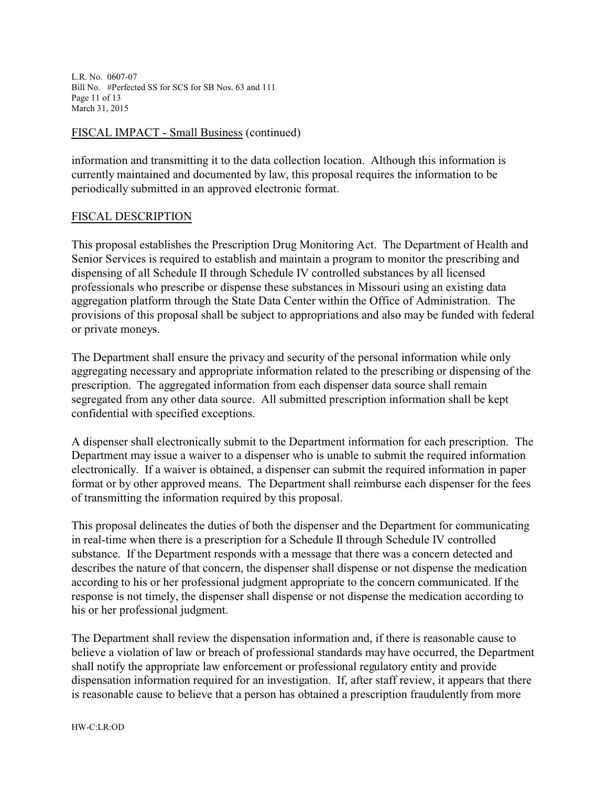L.R. No. 0607-07 Bill No. #Perfected SS for SCS for SB Nos. 63 and 111 Page 11 of 13 March 31, 2015

### FISCAL IMPACT - Small Business (continued)

information and transmitting it to the data collection location. Although this information is currently maintained and documented by law, this proposal requires the information to be periodically submitted in an approved electronic format.

#### FISCAL DESCRIPTION

This proposal establishes the Prescription Drug Monitoring Act. The Department of Health and Senior Services is required to establish and maintain a program to monitor the prescribing and dispensing of all Schedule II through Schedule IV controlled substances by all licensed professionals who prescribe or dispense these substances in Missouri using an existing data aggregation platform through the State Data Center within the Office of Administration. The provisions of this proposal shall be subject to appropriations and also may be funded with federal or private moneys.

The Department shall ensure the privacy and security of the personal information while only aggregating necessary and appropriate information related to the prescribing or dispensing of the prescription. The aggregated information from each dispenser data source shall remain segregated from any other data source. All submitted prescription information shall be kept confidential with specified exceptions.

A dispenser shall electronically submit to the Department information for each prescription. The Department may issue a waiver to a dispenser who is unable to submit the required information electronically. If a waiver is obtained, a dispenser can submit the required information in paper format or by other approved means. The Department shall reimburse each dispenser for the fees of transmitting the information required by this proposal.

This proposal delineates the duties of both the dispenser and the Department for communicating in real-time when there is a prescription for a Schedule II through Schedule IV controlled substance. If the Department responds with a message that there was a concern detected and describes the nature of that concern, the dispenser shall dispense or not dispense the medication according to his or her professional judgment appropriate to the concern communicated. If the response is not timely, the dispenser shall dispense or not dispense the medication according to his or her professional judgment.

The Department shall review the dispensation information and, if there is reasonable cause to believe a violation of law or breach of professional standards may have occurred, the Department shall notify the appropriate law enforcement or professional regulatory entity and provide dispensation information required for an investigation. If, after staff review, it appears that there is reasonable cause to believe that a person has obtained a prescription fraudulently from more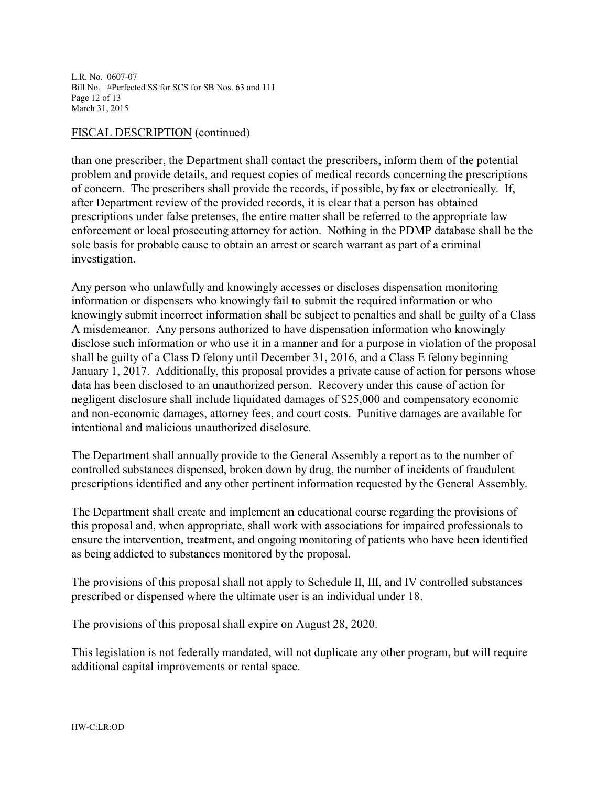L.R. No. 0607-07 Bill No. #Perfected SS for SCS for SB Nos. 63 and 111 Page 12 of 13 March 31, 2015

### FISCAL DESCRIPTION (continued)

than one prescriber, the Department shall contact the prescribers, inform them of the potential problem and provide details, and request copies of medical records concerning the prescriptions of concern. The prescribers shall provide the records, if possible, by fax or electronically. If, after Department review of the provided records, it is clear that a person has obtained prescriptions under false pretenses, the entire matter shall be referred to the appropriate law enforcement or local prosecuting attorney for action. Nothing in the PDMP database shall be the sole basis for probable cause to obtain an arrest or search warrant as part of a criminal investigation.

Any person who unlawfully and knowingly accesses or discloses dispensation monitoring information or dispensers who knowingly fail to submit the required information or who knowingly submit incorrect information shall be subject to penalties and shall be guilty of a Class A misdemeanor. Any persons authorized to have dispensation information who knowingly disclose such information or who use it in a manner and for a purpose in violation of the proposal shall be guilty of a Class D felony until December 31, 2016, and a Class E felony beginning January 1, 2017. Additionally, this proposal provides a private cause of action for persons whose data has been disclosed to an unauthorized person. Recovery under this cause of action for negligent disclosure shall include liquidated damages of \$25,000 and compensatory economic and non-economic damages, attorney fees, and court costs. Punitive damages are available for intentional and malicious unauthorized disclosure.

The Department shall annually provide to the General Assembly a report as to the number of controlled substances dispensed, broken down by drug, the number of incidents of fraudulent prescriptions identified and any other pertinent information requested by the General Assembly.

The Department shall create and implement an educational course regarding the provisions of this proposal and, when appropriate, shall work with associations for impaired professionals to ensure the intervention, treatment, and ongoing monitoring of patients who have been identified as being addicted to substances monitored by the proposal.

The provisions of this proposal shall not apply to Schedule II, III, and IV controlled substances prescribed or dispensed where the ultimate user is an individual under 18.

The provisions of this proposal shall expire on August 28, 2020.

This legislation is not federally mandated, will not duplicate any other program, but will require additional capital improvements or rental space.